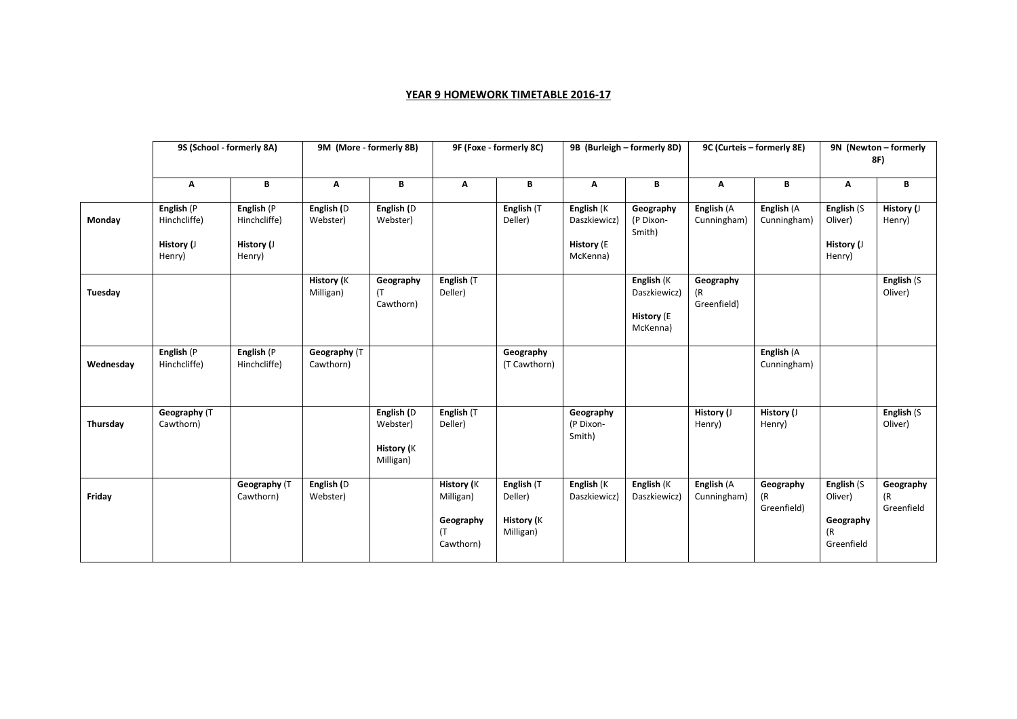## **YEAR 9 HOMEWORK TIMETABLE 2016-17**

|           | 9S (School - formerly 8A)                          |                                                    | 9M (More - formerly 8B)        |                                                          | 9F (Foxe - formerly 8C)                           |                                                         |                                                             | 9B (Burleigh - formerly 8D)                                 |                                | 9C (Curteis - formerly 8E)     | 9N (Newton - formerly                                  |                               |  |
|-----------|----------------------------------------------------|----------------------------------------------------|--------------------------------|----------------------------------------------------------|---------------------------------------------------|---------------------------------------------------------|-------------------------------------------------------------|-------------------------------------------------------------|--------------------------------|--------------------------------|--------------------------------------------------------|-------------------------------|--|
|           |                                                    |                                                    |                                |                                                          |                                                   |                                                         |                                                             |                                                             |                                |                                | 8F)                                                    |                               |  |
|           | A                                                  | В                                                  | Α                              | В                                                        | Λ                                                 | В                                                       | Α                                                           | B                                                           | Α                              | В                              | Α                                                      | В                             |  |
| Monday    | English (P<br>Hinchcliffe)<br>History (J<br>Henry) | English (P<br>Hinchcliffe)<br>History (J<br>Henry) | English (D<br>Webster)         | English (D<br>Webster)                                   |                                                   | English (T<br>Deller)                                   | English (K<br>Daszkiewicz)<br><b>History</b> (E<br>McKenna) | Geography<br>(P Dixon-<br>Smith)                            | English (A<br>Cunningham)      | English (A<br>Cunningham)      | English (S<br>Oliver)<br>History (J<br>Henry)          | History (J<br>Henry)          |  |
| Tuesday   |                                                    |                                                    | <b>History</b> (K<br>Milligan) | Geography<br>$(\top)$<br>Cawthorn)                       | English (T<br>Deller)                             |                                                         |                                                             | English (K<br>Daszkiewicz)<br><b>History</b> (E<br>McKenna) | Geography<br>(R<br>Greenfield) |                                |                                                        | English (S<br>Oliver)         |  |
| Wednesday | English (P<br>Hinchcliffe)                         | English (P<br>Hinchcliffe)                         | Geography (T<br>Cawthorn)      |                                                          |                                                   | Geography<br>(T Cawthorn)                               |                                                             |                                                             |                                | English (A<br>Cunningham)      |                                                        |                               |  |
| Thursday  | Geography (T<br>Cawthorn)                          |                                                    |                                | English (D<br>Webster)<br><b>History</b> (K<br>Milligan) | English (T<br>Deller)                             |                                                         | Geography<br>(P Dixon-<br>Smith)                            |                                                             | History (J<br>Henry)           | History (J<br>Henry)           |                                                        | English (S<br>Oliver)         |  |
| Friday    |                                                    | Geography (T<br>Cawthorn)                          | English (D<br>Webster)         |                                                          | History (K<br>Milligan)<br>Geography<br>Cawthorn) | English (T<br>Deller)<br><b>History</b> (K<br>Milligan) | English (K<br>Daszkiewicz)                                  | English (K<br>Daszkiewicz)                                  | English (A<br>Cunningham)      | Geography<br>(R<br>Greenfield) | English (S<br>Oliver)<br>Geography<br>(R<br>Greenfield | Geography<br>(R<br>Greenfield |  |